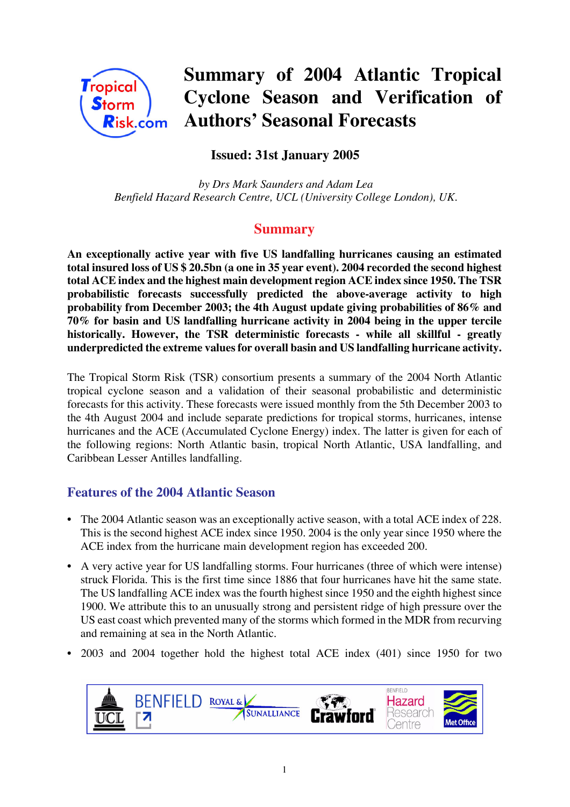

# **Summary of 2004 Atlantic Tropical Cyclone Season and Verification of Authors' Seasonal Forecasts**

## **Issued: 31st January 2005**

 *by Drs Mark Saunders and Adam Lea Benfield Hazard Research Centre, UCL (University College London), UK.*

## **Summary**

**An exceptionally active year with five US landfalling hurricanes causing an estimated total insured loss of US \$ 20.5bn (a one in 35 year event). 2004 recorded the second highest total ACE index and the highest main development region ACE index since 1950. The TSR probabilistic forecasts successfully predicted the above-average activity to high probability from December 2003; the 4th August update giving probabilities of 86% and 70% for basin and US landfalling hurricane activity in 2004 being in the upper tercile historically. However, the TSR deterministic forecasts - while all skillful - greatly underpredicted the extreme values for overall basin and US landfalling hurricane activity.**

The Tropical Storm Risk (TSR) consortium presents a summary of the 2004 North Atlantic tropical cyclone season and a validation of their seasonal probabilistic and deterministic forecasts for this activity. These forecasts were issued monthly from the 5th December 2003 to the 4th August 2004 and include separate predictions for tropical storms, hurricanes, intense hurricanes and the ACE (Accumulated Cyclone Energy) index. The latter is given for each of the following regions: North Atlantic basin, tropical North Atlantic, USA landfalling, and Caribbean Lesser Antilles landfalling.

## **Features of the 2004 Atlantic Season**

- The 2004 Atlantic season was an exceptionally active season, with a total ACE index of 228. This is the second highest ACE index since 1950. 2004 is the only year since 1950 where the ACE index from the hurricane main development region has exceeded 200.
- A very active year for US landfalling storms. Four hurricanes (three of which were intense) struck Florida. This is the first time since 1886 that four hurricanes have hit the same state. The US landfalling ACE index was the fourth highest since 1950 and the eighth highest since 1900. We attribute this to an unusually strong and persistent ridge of high pressure over the US east coast which prevented many of the storms which formed in the MDR from recurving and remaining at sea in the North Atlantic.
- 2003 and 2004 together hold the highest total ACE index (401) since 1950 for two

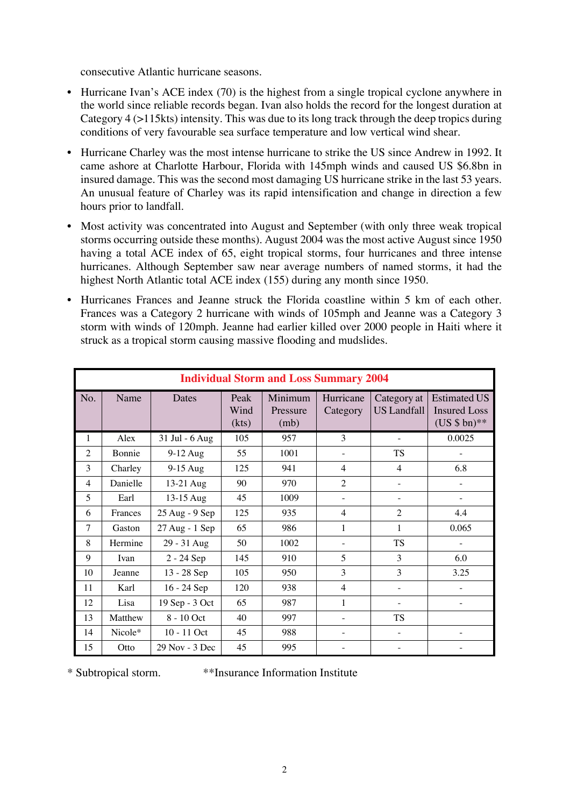consecutive Atlantic hurricane seasons.

- Hurricane Ivan's ACE index (70) is the highest from a single tropical cyclone anywhere in the world since reliable records began. Ivan also holds the record for the longest duration at Category 4 (>115kts) intensity. This was due to its long track through the deep tropics during conditions of very favourable sea surface temperature and low vertical wind shear.
- Hurricane Charley was the most intense hurricane to strike the US since Andrew in 1992. It came ashore at Charlotte Harbour, Florida with 145mph winds and caused US \$6.8bn in insured damage. This was the second most damaging US hurricane strike in the last 53 years. An unusual feature of Charley was its rapid intensification and change in direction a few hours prior to landfall.
- Most activity was concentrated into August and September (with only three weak tropical storms occurring outside these months). August 2004 was the most active August since 1950 having a total ACE index of 65, eight tropical storms, four hurricanes and three intense hurricanes. Although September saw near average numbers of named storms, it had the highest North Atlantic total ACE index (155) during any month since 1950.
- Hurricanes Frances and Jeanne struck the Florida coastline within 5 km of each other. Frances was a Category 2 hurricane with winds of 105mph and Jeanne was a Category 3 storm with winds of 120mph. Jeanne had earlier killed over 2000 people in Haiti where it struck as a tropical storm causing massive flooding and mudslides.

|                | <b>Individual Storm and Loss Summary 2004</b> |                    |                       |                             |                       |                                   |                                                            |
|----------------|-----------------------------------------------|--------------------|-----------------------|-----------------------------|-----------------------|-----------------------------------|------------------------------------------------------------|
| No.            | Name                                          | Dates              | Peak<br>Wind<br>(kts) | Minimum<br>Pressure<br>(mb) | Hurricane<br>Category | Category at<br><b>US</b> Landfall | <b>Estimated US</b><br><b>Insured Loss</b><br>$(US $bn)**$ |
| 1              | Alex                                          | 31 Jul - 6 Aug     | 105                   | 957                         | 3                     |                                   | 0.0025                                                     |
| $\overline{2}$ | Bonnie                                        | $9-12$ Aug         | 55                    | 1001                        |                       | <b>TS</b>                         |                                                            |
| 3              | Charley                                       | $9-15$ Aug         | 125                   | 941                         | $\overline{4}$        | $\overline{4}$                    | 6.8                                                        |
| 4              | Danielle                                      | 13-21 Aug          | 90                    | 970                         | $\overline{2}$        |                                   |                                                            |
| 5              | Earl                                          | 13-15 Aug          | 45                    | 1009                        |                       |                                   |                                                            |
| 6              | Frances                                       | 25 Aug - 9 Sep     | 125                   | 935                         | 4                     | $\overline{2}$                    | 4.4                                                        |
| 7              | Gaston                                        | 27 Aug - 1 Sep     | 65                    | 986                         | 1                     | 1                                 | 0.065                                                      |
| 8              | Hermine                                       | 29 - 31 Aug        | 50                    | 1002                        |                       | <b>TS</b>                         |                                                            |
| 9              | Ivan                                          | $2 - 24$ Sep       | 145                   | 910                         | 5                     | 3                                 | 6.0                                                        |
| 10             | Jeanne                                        | 13 - 28 Sep        | 105                   | 950                         | 3                     | 3                                 | 3.25                                                       |
| 11             | Karl                                          | 16 - 24 Sep        | 120                   | 938                         | 4                     |                                   |                                                            |
| 12             | Lisa                                          | 19 Sep - 3 Oct     | 65                    | 987                         | 1                     |                                   |                                                            |
| 13             | Matthew                                       | 8 - 10 Oct         | 40                    | 997                         |                       | <b>TS</b>                         |                                                            |
| 14             | Nicole*                                       | 10 - 11 Oct        | 45                    | 988                         |                       |                                   |                                                            |
| 15             | Otto                                          | $29$ Nov - $3$ Dec | 45                    | 995                         |                       |                                   |                                                            |

\* Subtropical storm. \*\*Insurance Information Institute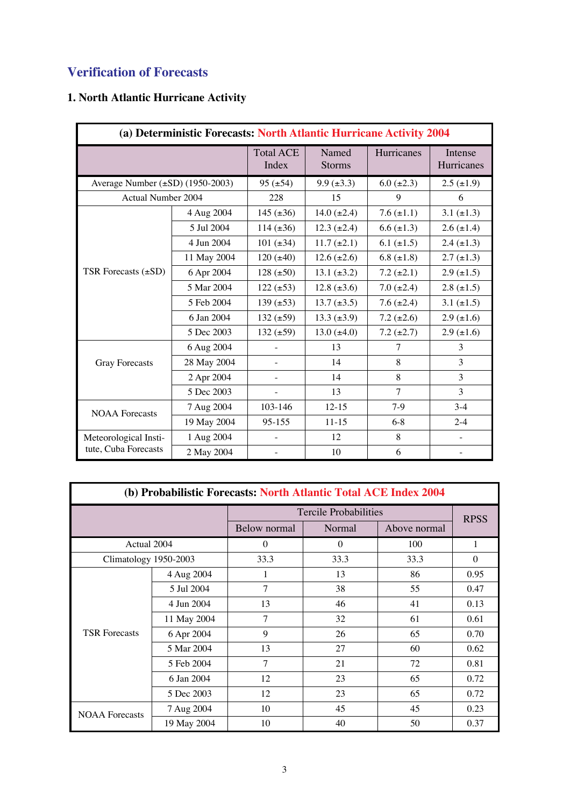## **Verification of Forecasts**

## **1. North Atlantic Hurricane Activity**

| (a) Deterministic Forecasts: North Atlantic Hurricane Activity 2004 |             |                           |                        |                 |                       |
|---------------------------------------------------------------------|-------------|---------------------------|------------------------|-----------------|-----------------------|
|                                                                     |             | <b>Total ACE</b><br>Index | Named<br><b>Storms</b> | Hurricanes      | Intense<br>Hurricanes |
| Average Number (±SD) (1950-2003)                                    |             | $95 (\pm 54)$             | $9.9 \ (\pm 3.3)$      | $6.0 (\pm 2.3)$ | $2.5 (\pm 1.9)$       |
| <b>Actual Number 2004</b>                                           |             | 228                       | 15                     | 9               | 6                     |
|                                                                     | 4 Aug 2004  | 145 $(\pm 36)$            | 14.0 $(\pm 2.4)$       | 7.6 $(\pm 1.1)$ | $3.1 (\pm 1.3)$       |
|                                                                     | 5 Jul 2004  | $114 (\pm 36)$            | $12.3 \ (\pm 2.4)$     | $6.6 (\pm 1.3)$ | $2.6 (\pm 1.4)$       |
|                                                                     | 4 Jun 2004  | 101 $(\pm 34)$            | $11.7 (\pm 2.1)$       | 6.1 $(\pm 1.5)$ | $2.4 (\pm 1.3)$       |
|                                                                     | 11 May 2004 | $120 (\pm 40)$            | $12.6 (\pm 2.6)$       | $6.8 (\pm 1.8)$ | $2.7 (\pm 1.3)$       |
| TSR Forecasts $(\pm SD)$                                            | 6 Apr 2004  | $128 (\pm 50)$            | $13.1 (\pm 3.2)$       | $7.2 (\pm 2.1)$ | $2.9 \ (\pm 1.5)$     |
|                                                                     | 5 Mar 2004  | $122 (\pm 53)$            | $12.8 (\pm 3.6)$       | $7.0 (\pm 2.4)$ | $2.8 (\pm 1.5)$       |
|                                                                     | 5 Feb 2004  | 139 $(\pm 53)$            | $13.7 \ (\pm 3.5)$     | $7.6 (\pm 2.4)$ | $3.1 (\pm 1.5)$       |
|                                                                     | 6 Jan 2004  | $132 (\pm 59)$            | $13.3 \ (\pm 3.9)$     | $7.2 (\pm 2.6)$ | $2.9 \ (\pm 1.6)$     |
|                                                                     | 5 Dec 2003  | $132 (\pm 59)$            | $13.0 (\pm 4.0)$       | $7.2 (\pm 2.7)$ | $2.9 \ (\pm 1.6)$     |
|                                                                     | 6 Aug 2004  |                           | 13                     | 7               | 3                     |
| <b>Gray Forecasts</b>                                               | 28 May 2004 | -                         | 14                     | 8               | 3                     |
|                                                                     | 2 Apr 2004  | $\overline{a}$            | 14                     | 8               | 3                     |
|                                                                     | 5 Dec 2003  |                           | 13                     | $\tau$          | 3                     |
| <b>NOAA</b> Forecasts                                               | 7 Aug 2004  | 103-146                   | $12 - 15$              | $7-9$           | $3 - 4$               |
|                                                                     | 19 May 2004 | 95-155                    | $11 - 15$              | $6-8$           | $2 - 4$               |
| Meteorological Insti-                                               | 1 Aug 2004  |                           | 12                     | 8               |                       |
| tute, Cuba Forecasts                                                | 2 May 2004  |                           | 10                     | 6               |                       |

| (b) Probabilistic Forecasts: North Atlantic Total ACE Index 2004 |             |                              |             |              |          |
|------------------------------------------------------------------|-------------|------------------------------|-------------|--------------|----------|
|                                                                  |             | <b>Tercile Probabilities</b> | <b>RPSS</b> |              |          |
|                                                                  |             | Below normal<br>Normal       |             | Above normal |          |
| Actual 2004                                                      |             | $\Omega$                     | $\Omega$    | 100          | 1        |
| Climatology 1950-2003                                            |             | 33.3                         | 33.3        | 33.3         | $\Omega$ |
|                                                                  | 4 Aug 2004  | 1                            | 13          | 86           | 0.95     |
|                                                                  | 5 Jul 2004  | 7                            | 38          | 55           | 0.47     |
|                                                                  | 4 Jun 2004  | 13                           | 46          | 41           | 0.13     |
|                                                                  | 11 May 2004 | 7                            | 32          | 61           | 0.61     |
| <b>TSR Forecasts</b>                                             | 6 Apr 2004  | 9                            | 26          | 65           | 0.70     |
|                                                                  | 5 Mar 2004  | 13                           | 27          | 60           | 0.62     |
|                                                                  | 5 Feb 2004  | 7                            | 21          | 72           | 0.81     |
|                                                                  | 6 Jan 2004  | 12                           | 23          | 65           | 0.72     |
|                                                                  | 5 Dec 2003  | 12                           | 23          | 65           | 0.72     |
| <b>NOAA</b> Forecasts                                            | 7 Aug 2004  | 10                           | 45          | 45           | 0.23     |
|                                                                  | 19 May 2004 | 10                           | 40          | 50           | 0.37     |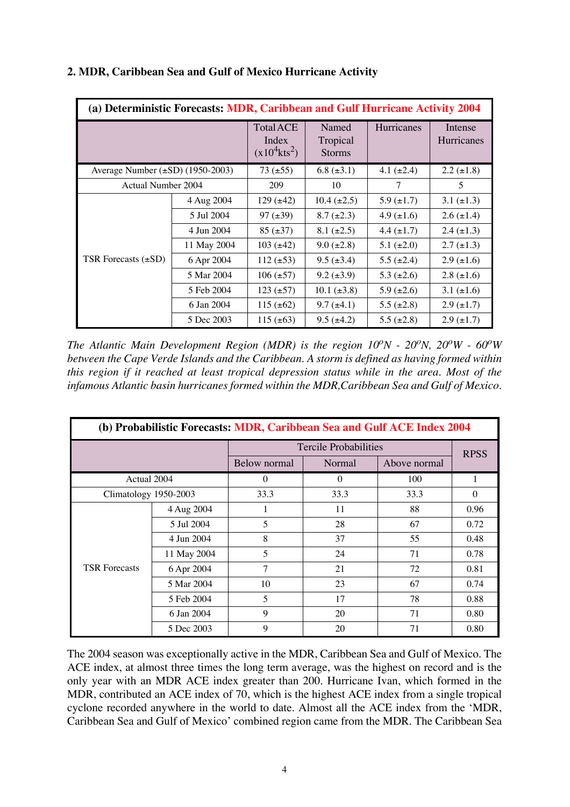| (a) Deterministic Forecasts: MDR, Caribbean and Gulf Hurricane Activity 2004 |             |                                                          |                                    |                   |                       |
|------------------------------------------------------------------------------|-------------|----------------------------------------------------------|------------------------------------|-------------------|-----------------------|
|                                                                              |             | <b>Total ACE</b><br>Index<br>$(x10^4$ kts <sup>2</sup> ) | Named<br>Tropical<br><b>Storms</b> | <b>Hurricanes</b> | Intense<br>Hurricanes |
| Average Number $(\pm SD)$ (1950-2003)                                        |             | $73 (\pm 55)$                                            | $6.8 (\pm 3.1)$                    | 4.1 $(\pm 2.4)$   | $2.2 (\pm 1.8)$       |
| <b>Actual Number 2004</b>                                                    |             | 209                                                      | 10                                 | 7                 | 5                     |
|                                                                              | 4 Aug 2004  | $129 (+42)$                                              | $10.4 \ (\pm 2.5)$                 | $5.9 \ (\pm 1.7)$ | $3.1 (\pm 1.3)$       |
|                                                                              | 5 Jul 2004  | $97 (\pm 39)$                                            | $8.7 (\pm 2.3)$                    | 4.9 $(\pm 1.6)$   | $2.6 (\pm 1.4)$       |
|                                                                              | 4 Jun 2004  | $85 (\pm 37)$                                            | $8.1 (\pm 2.5)$                    | $4.4 \ (\pm 1.7)$ | $2.4 \ (\pm 1.3)$     |
|                                                                              | 11 May 2004 | $103 (+42)$                                              | $9.0 (\pm 2.8)$                    | $5.1 (\pm 2.0)$   | $2.7 \ (\pm 1.3)$     |
| TSR Forecasts $(\pm SD)$                                                     | 6 Apr 2004  | $112 (\pm 53)$                                           | $9.5 (\pm 3.4)$                    | $5.5 \ (\pm 2.4)$ | $2.9 \ (\pm 1.6)$     |
|                                                                              | 5 Mar 2004  | $106 (\pm 57)$                                           | $9.2 \ (\pm 3.9)$                  | 5.3 $(\pm 2.6)$   | $2.8 (\pm 1.6)$       |
|                                                                              | 5 Feb 2004  | $123 (\pm 57)$                                           | $10.1 (\pm 3.8)$                   | 5.9 $(\pm 2.6)$   | 3.1 $(\pm 1.6)$       |
|                                                                              | 6 Jan 2004  | 115 $(\pm 62)$                                           | $9.7 \ (\pm 4.1)$                  | $5.5 (\pm 2.8)$   | $2.9 \ (\pm 1.7)$     |
|                                                                              | 5 Dec 2003  | 115 $(\pm 63)$                                           | $9.5 (\pm 4.2)$                    | $5.5 (\pm 2.8)$   | $2.9 \ (\pm 1.7)$     |

## **2. MDR, Caribbean Sea and Gulf of Mexico Hurricane Activity**

*The Atlantic Main Development Region (MDR) is the region*  $10^{\circ}N$  *-*  $20^{\circ}N$ *,*  $20^{\circ}W$  *-*  $60^{\circ}W$ *between the Cape Verde Islands and the Caribbean. A storm is defined as having formed within this region if it reached at least tropical depression status while in the area. Most of the infamous Atlantic basin hurricanes formed within the MDR,Caribbean Sea and Gulf of Mexico.*

| (b) Probabilistic Forecasts: MDR, Caribbean Sea and Gulf ACE Index 2004 |             |              |                              |              |             |  |  |
|-------------------------------------------------------------------------|-------------|--------------|------------------------------|--------------|-------------|--|--|
|                                                                         |             |              | <b>Tercile Probabilities</b> |              |             |  |  |
|                                                                         |             | Below normal | Normal                       | Above normal | <b>RPSS</b> |  |  |
| Actual 2004                                                             |             | $\Omega$     | $\Omega$                     | 100          | 1           |  |  |
| Climatology 1950-2003                                                   |             | 33.3         | 33.3                         | 33.3         | $\Omega$    |  |  |
|                                                                         | 4 Aug 2004  | I.           | 11                           | 88           | 0.96        |  |  |
|                                                                         | 5 Jul 2004  | 5            | 28                           | 67           | 0.72        |  |  |
|                                                                         | 4 Jun 2004  | 8            | 37                           | 55           | 0.48        |  |  |
|                                                                         | 11 May 2004 | 5            | 24                           | 71           | 0.78        |  |  |
| <b>TSR Forecasts</b>                                                    | 6 Apr 2004  | $\tau$       | 21                           | 72           | 0.81        |  |  |
|                                                                         | 5 Mar 2004  | 10           | 23                           | 67           | 0.74        |  |  |
|                                                                         | 5 Feb 2004  | 5            | 17                           | 78           | 0.88        |  |  |
|                                                                         | 6 Jan 2004  | 9            | 20                           | 71           | 0.80        |  |  |
|                                                                         | 5 Dec 2003  | 9            | 20                           | 71           | 0.80        |  |  |

The 2004 season was exceptionally active in the MDR, Caribbean Sea and Gulf of Mexico. The ACE index, at almost three times the long term average, was the highest on record and is the only year with an MDR ACE index greater than 200. Hurricane Ivan, which formed in the MDR, contributed an ACE index of 70, which is the highest ACE index from a single tropical cyclone recorded anywhere in the world to date. Almost all the ACE index from the 'MDR, Caribbean Sea and Gulf of Mexico' combined region came from the MDR. The Caribbean Sea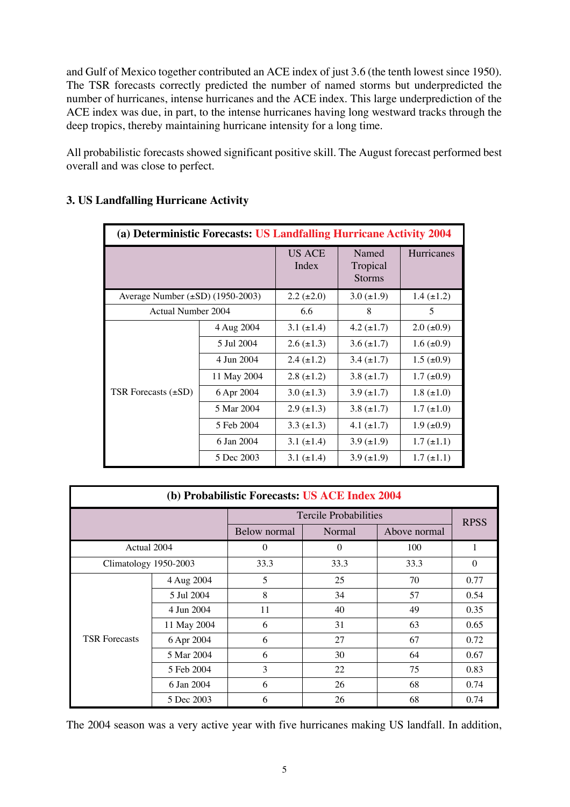and Gulf of Mexico together contributed an ACE index of just 3.6 (the tenth lowest since 1950). The TSR forecasts correctly predicted the number of named storms but underpredicted the number of hurricanes, intense hurricanes and the ACE index. This large underprediction of the ACE index was due, in part, to the intense hurricanes having long westward tracks through the deep tropics, thereby maintaining hurricane intensity for a long time.

All probabilistic forecasts showed significant positive skill. The August forecast performed best overall and was close to perfect.

| (a) Deterministic Forecasts: US Landfalling Hurricane Activity 2004 |             |                        |                                    |                   |  |
|---------------------------------------------------------------------|-------------|------------------------|------------------------------------|-------------------|--|
|                                                                     |             | <b>US ACE</b><br>Index | Named<br>Tropical<br><b>Storms</b> | <b>Hurricanes</b> |  |
| Average Number $(\pm SD)$ (1950-2003)                               |             | $2.2 (\pm 2.0)$        | $3.0 \ (\pm 1.9)$                  | $1.4 \ (\pm 1.2)$ |  |
| Actual Number 2004                                                  |             | 6.6                    | 8                                  | 5                 |  |
|                                                                     | 4 Aug 2004  | 3.1 $(\pm 1.4)$        | $4.2 \ (\pm 1.7)$                  | $2.0 \ (\pm 0.9)$ |  |
|                                                                     | 5 Jul 2004  | $2.6 (\pm 1.3)$        | $3.6 (\pm 1.7)$                    | $1.6 (\pm 0.9)$   |  |
|                                                                     | 4 Jun 2004  | $2.4 \ (\pm 1.2)$      | $3.4 (\pm 1.7)$                    | $1.5 \ (\pm 0.9)$ |  |
|                                                                     | 11 May 2004 | $2.8 (\pm 1.2)$        | $3.8 (\pm 1.7)$                    | $1.7 \ (\pm 0.9)$ |  |
| TSR Forecasts $(\pm SD)$                                            | 6 Apr 2004  | $3.0 (\pm 1.3)$        | $3.9 \ (\pm 1.7)$                  | $1.8 (\pm 1.0)$   |  |
|                                                                     | 5 Mar 2004  | $2.9 \ (\pm 1.3)$      | $3.8 (\pm 1.7)$                    | $1.7 (\pm 1.0)$   |  |
|                                                                     | 5 Feb 2004  | $3.3 (\pm 1.3)$        | 4.1 $(\pm 1.7)$                    | $1.9 \ (\pm 0.9)$ |  |
|                                                                     | 6 Jan 2004  | 3.1 $(\pm 1.4)$        | $3.9 \ (\pm 1.9)$                  | $1.7 (\pm 1.1)$   |  |
|                                                                     | 5 Dec 2003  | 3.1 $(\pm 1.4)$        | $3.9 \ (\pm 1.9)$                  | $1.7 (\pm 1.1)$   |  |

## **3. US Landfalling Hurricane Activity**

| (b) Probabilistic Forecasts: US ACE Index 2004 |             |              |                       |              |             |  |  |
|------------------------------------------------|-------------|--------------|-----------------------|--------------|-------------|--|--|
|                                                |             |              | Tercile Probabilities |              |             |  |  |
|                                                |             | Below normal | Normal                | Above normal | <b>RPSS</b> |  |  |
| Actual 2004                                    |             | $\Omega$     | $\theta$              | 100          | 1           |  |  |
| Climatology 1950-2003                          |             | 33.3         | 33.3                  | 33.3         | $\theta$    |  |  |
|                                                | 4 Aug 2004  | 5            | 25                    | 70           | 0.77        |  |  |
|                                                | 5 Jul 2004  | 8            | 34                    | 57           | 0.54        |  |  |
|                                                | 4 Jun 2004  | 11           | 40                    | 49           | 0.35        |  |  |
|                                                | 11 May 2004 | 6            | 31                    | 63           | 0.65        |  |  |
| <b>TSR Forecasts</b>                           | 6 Apr 2004  | 6            | 27                    | 67           | 0.72        |  |  |
|                                                | 5 Mar 2004  | 6            | 30                    | 64           | 0.67        |  |  |
|                                                | 5 Feb 2004  | 3            | 22                    | 75           | 0.83        |  |  |
|                                                | 6 Jan 2004  | 6            | 26                    | 68           | 0.74        |  |  |
|                                                | 5 Dec 2003  | 6            | 26                    | 68           | 0.74        |  |  |

The 2004 season was a very active year with five hurricanes making US landfall. In addition,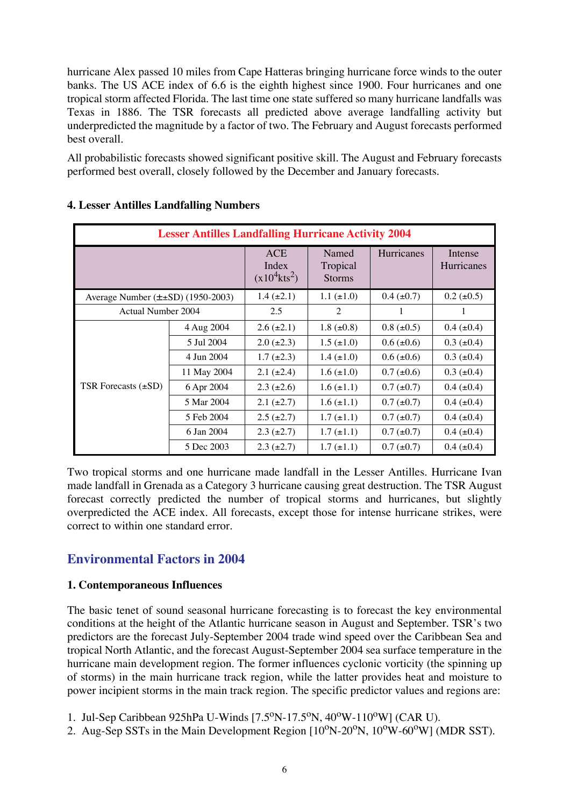hurricane Alex passed 10 miles from Cape Hatteras bringing hurricane force winds to the outer banks. The US ACE index of 6.6 is the eighth highest since 1900. Four hurricanes and one tropical storm affected Florida. The last time one state suffered so many hurricane landfalls was Texas in 1886. The TSR forecasts all predicted above average landfalling activity but underpredicted the magnitude by a factor of two. The February and August forecasts performed best overall.

All probabilistic forecasts showed significant positive skill. The August and February forecasts performed best overall, closely followed by the December and January forecasts.

| <b>Lesser Antilles Landfalling Hurricane Activity 2004</b> |             |                                                    |                                    |                   |                       |  |
|------------------------------------------------------------|-------------|----------------------------------------------------|------------------------------------|-------------------|-----------------------|--|
|                                                            |             | <b>ACE</b><br>Index<br>$(x10^4$ kts <sup>2</sup> ) | Named<br>Tropical<br><b>Storms</b> | <b>Hurricanes</b> | Intense<br>Hurricanes |  |
| Average Number $(\pm\pm SD)$ (1950-2003)                   |             | $1.4 (\pm 2.1)$                                    | $1.1 (\pm 1.0)$                    | $0.4 \ (\pm 0.7)$ | $0.2 (\pm 0.5)$       |  |
| Actual Number 2004                                         |             | 2.5                                                | 2                                  | 1                 | 1                     |  |
|                                                            | 4 Aug 2004  | $2.6 (\pm 2.1)$                                    | $1.8 \ (\pm 0.8)$                  | $0.8 (\pm 0.5)$   | $0.4 (\pm 0.4)$       |  |
|                                                            | 5 Jul 2004  | $2.0 (\pm 2.3)$                                    | $1.5 (\pm 1.0)$                    | $0.6 (\pm 0.6)$   | $0.3 (\pm 0.4)$       |  |
|                                                            | 4 Jun 2004  | $1.7 (\pm 2.3)$                                    | $1.4 \ (\pm 1.0)$                  | $0.6 (\pm 0.6)$   | $0.3$ ( $\pm 0.4$ )   |  |
|                                                            | 11 May 2004 | $2.1 (\pm 2.4)$                                    | $1.6 (\pm 1.0)$                    | $0.7 (\pm 0.6)$   | $0.3 (\pm 0.4)$       |  |
| TSR Forecasts $(\pm SD)$                                   | 6 Apr 2004  | $2.3 (\pm 2.6)$                                    | $1.6 (\pm 1.1)$                    | $0.7 (\pm 0.7)$   | $0.4$ ( $\pm 0.4$ )   |  |
|                                                            | 5 Mar 2004  | $2.1 (\pm 2.7)$                                    | $1.6 (\pm 1.1)$                    | $0.7 (\pm 0.7)$   | $0.4~(\pm 0.4)$       |  |
|                                                            | 5 Feb 2004  | $2.5 (\pm 2.7)$                                    | $1.7 (\pm 1.1)$                    | $0.7 (\pm 0.7)$   | $0.4~(\pm 0.4)$       |  |
|                                                            | 6 Jan 2004  | $2.3 (\pm 2.7)$                                    | $1.7 (\pm 1.1)$                    | $0.7 (\pm 0.7)$   | $0.4~(\pm 0.4)$       |  |
|                                                            | 5 Dec 2003  | $2.3 \ (\pm 2.7)$                                  | $1.7 (\pm 1.1)$                    | $0.7 (\pm 0.7)$   | $0.4$ ( $\pm 0.4$ )   |  |

#### **4. Lesser Antilles Landfalling Numbers**

Two tropical storms and one hurricane made landfall in the Lesser Antilles. Hurricane Ivan made landfall in Grenada as a Category 3 hurricane causing great destruction. The TSR August forecast correctly predicted the number of tropical storms and hurricanes, but slightly overpredicted the ACE index. All forecasts, except those for intense hurricane strikes, were correct to within one standard error.

## **Environmental Factors in 2004**

#### **1. Contemporaneous Influences**

The basic tenet of sound seasonal hurricane forecasting is to forecast the key environmental conditions at the height of the Atlantic hurricane season in August and September. TSR's two predictors are the forecast July-September 2004 trade wind speed over the Caribbean Sea and tropical North Atlantic, and the forecast August-September 2004 sea surface temperature in the hurricane main development region. The former influences cyclonic vorticity (the spinning up of storms) in the main hurricane track region, while the latter provides heat and moisture to power incipient storms in the main track region. The specific predictor values and regions are:

1. Jul-Sep Caribbean 925hPa U-Winds  $[7.5^{\circ}N-17.5^{\circ}N, 40^{\circ}W-110^{\circ}W]$  (CAR U).

2. Aug-Sep SSTs in the Main Development Region  $[10^{\circ}N-20^{\circ}N, 10^{\circ}W-60^{\circ}W]$  (MDR SST).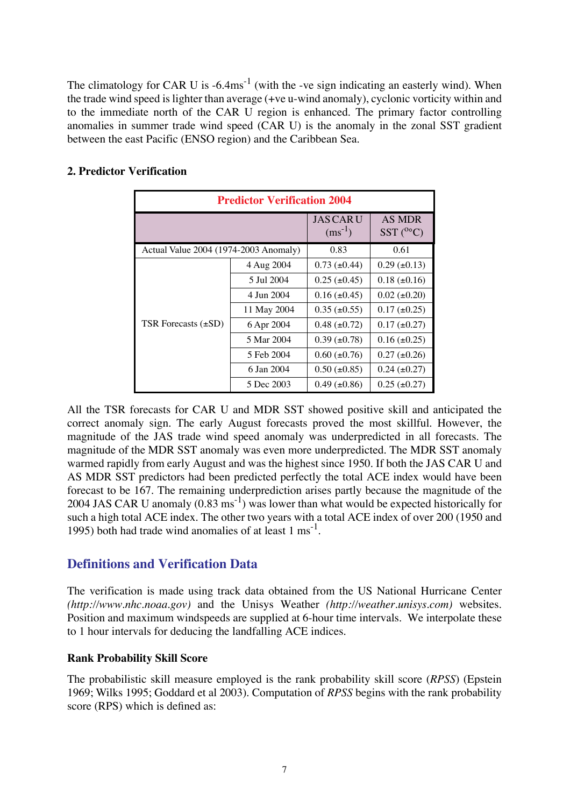The climatology for CAR U is  $-6.4 \text{ms}^{-1}$  (with the -ve sign indicating an easterly wind). When the trade wind speed is lighter than average (+ve u-wind anomaly), cyclonic vorticity within and to the immediate north of the CAR U region is enhanced. The primary factor controlling anomalies in summer trade wind speed (CAR U) is the anomaly in the zonal SST gradient between the east Pacific (ENSO region) and the Caribbean Sea.

| <b>Predictor Verification 2004</b>    |             |                                 |                                    |  |  |
|---------------------------------------|-------------|---------------------------------|------------------------------------|--|--|
|                                       |             | <b>JAS CAR U</b><br>$(ms^{-1})$ | <b>AS MDR</b><br>$SST(^{0\circ}C)$ |  |  |
| Actual Value 2004 (1974-2003 Anomaly) | 0.83        | 0.61                            |                                    |  |  |
|                                       | 4 Aug 2004  | $0.73$ ( $\pm 0.44$ )           | $0.29 \ (\pm 0.13)$                |  |  |
|                                       | 5 Jul 2004  | $0.25 (\pm 0.45)$               | $0.18 (\pm 0.16)$                  |  |  |
|                                       | 4 Jun 2004  | $0.16 (\pm 0.45)$               | $0.02 \ (\pm 0.20)$                |  |  |
|                                       | 11 May 2004 | $0.35 (\pm 0.55)$               | $0.17 (\pm 0.25)$                  |  |  |
| TSR Forecasts $(\pm SD)$              | 6 Apr 2004  | $0.48 (\pm 0.72)$               | $0.17 (\pm 0.27)$                  |  |  |
|                                       | 5 Mar 2004  | $0.39 \ (\pm 0.78)$             | $0.16 (\pm 0.25)$                  |  |  |
|                                       | 5 Feb 2004  | $0.60 (\pm 0.76)$               | $0.27 (\pm 0.26)$                  |  |  |
|                                       | 6 Jan 2004  | $0.50 \ (\pm 0.85)$             | $0.24 \ (\pm 0.27)$                |  |  |
|                                       | 5 Dec 2003  | $0.49$ ( $\pm 0.86$ )           | $0.25 (\pm 0.27)$                  |  |  |

#### **2. Predictor Verification**

All the TSR forecasts for CAR U and MDR SST showed positive skill and anticipated the correct anomaly sign. The early August forecasts proved the most skillful. However, the magnitude of the JAS trade wind speed anomaly was underpredicted in all forecasts. The magnitude of the MDR SST anomaly was even more underpredicted. The MDR SST anomaly warmed rapidly from early August and was the highest since 1950. If both the JAS CAR U and AS MDR SST predictors had been predicted perfectly the total ACE index would have been forecast to be 167. The remaining underprediction arises partly because the magnitude of the 2004 JAS CAR U anomaly  $(0.83 \text{ ms}^{-1})$  was lower than what would be expected historically for such a high total ACE index. The other two years with a total ACE index of over 200 (1950 and 1995) both had trade wind anomalies of at least  $1 \text{ ms}^{-1}$ .

## **Definitions and Verification Data**

The verification is made using track data obtained from the US National Hurricane Center *(http://www.nhc.noaa.gov)* and the Unisys Weather *(http://weather.unisys.com)* websites. Position and maximum windspeeds are supplied at 6-hour time intervals. We interpolate these to 1 hour intervals for deducing the landfalling ACE indices.

#### **Rank Probability Skill Score**

The probabilistic skill measure employed is the rank probability skill score (*RPSS*) (Epstein 1969; Wilks 1995; Goddard et al 2003). Computation of *RPSS* begins with the rank probability score (RPS) which is defined as: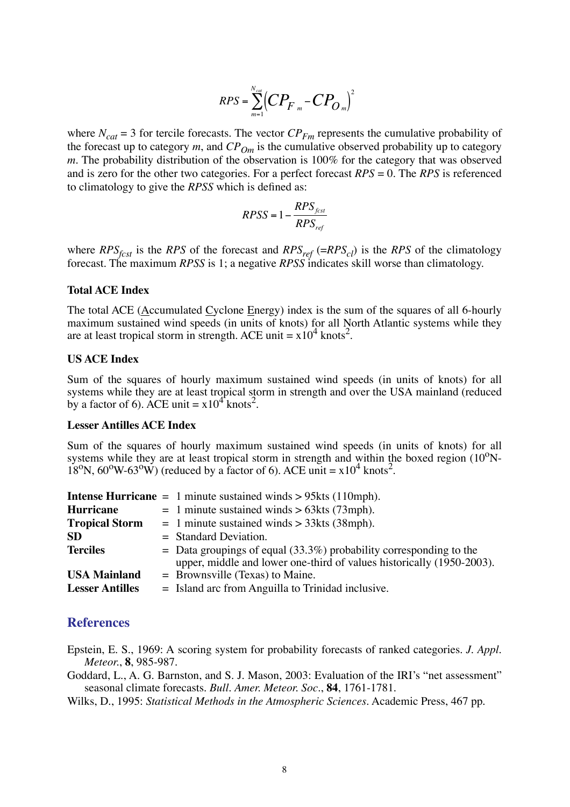$$
RPS = \sum_{m=1}^{N_{cat}} (CP_{F_m} - CP_{O_m})^2
$$

where  $N_{cat} = 3$  for tercile forecasts. The vector  $CP_{Fm}$  represents the cumulative probability of the forecast up to category  $m$ , and  $CP_{Om}$  is the cumulative observed probability up to category *m*. The probability distribution of the observation is 100% for the category that was observed and is zero for the other two categories. For a perfect forecast *RPS* = 0. The *RPS* is referenced to climatology to give the *RPSS* which is defined as:

$$
RPSS = 1 - \frac{RPS_{fest}}{RPS_{ref}}
$$

where  $RPS_{fcsf}$  is the *RPS* of the forecast and  $RPS_{ref}$  (= $RPS_{cl}$ ) is the *RPS* of the climatology forecast. The maximum *RPSS* is 1; a negative *RPSS* indicates skill worse than climatology.

#### **Total ACE Index**

The total ACE (Accumulated Cyclone Energy) index is the sum of the squares of all 6-hourly maximum sustained wind speeds (in units of knots) for all North Atlantic systems while they are at least tropical storm in strength. ACE unit =  $x10^4$  knots<sup>2</sup>.

#### **US ACE Index**

Sum of the squares of hourly maximum sustained wind speeds (in units of knots) for all systems while they are at least tropical storm in strength and over the USA mainland (reduced by a factor of 6). ACE unit =  $x10^4$  knots<sup>2</sup>.

#### **Lesser Antilles ACE Index**

Sum of the squares of hourly maximum sustained wind speeds (in units of knots) for all systems while they are at least tropical storm in strength and within the boxed region  $(10^{\circ}N 18^{\circ}$ N,  $60^{\circ}$ W- $63^{\circ}$ W) (reduced by a factor of 6). ACE unit =  $x10^4$  knots<sup>2</sup>.

|                        | <b>Intense Hurricane</b> = 1 minute sustained winds $> 95$ kts (110mph).    |
|------------------------|-----------------------------------------------------------------------------|
| <b>Hurricane</b>       | $= 1$ minute sustained winds > 63kts (73mph).                               |
| <b>Tropical Storm</b>  | $= 1$ minute sustained winds > 33kts (38mph).                               |
| <b>SD</b>              | $=$ Standard Deviation.                                                     |
| <b>Terciles</b>        | $\epsilon$ Data groupings of equal (33.3%) probability corresponding to the |
|                        | upper, middle and lower one-third of values historically (1950-2003).       |
| <b>USA Mainland</b>    | $=$ Brownsville (Texas) to Maine.                                           |
| <b>Lesser Antilles</b> | $=$ Island arc from Anguilla to Trinidad inclusive.                         |

#### **References**

Epstein, E. S., 1969: A scoring system for probability forecasts of ranked categories. *J. Appl. Meteor.*, **8**, 985-987.

Goddard, L., A. G. Barnston, and S. J. Mason, 2003: Evaluation of the IRI's "net assessment" seasonal climate forecasts. *Bull. Amer. Meteor. Soc*., **84**, 1761-1781.

Wilks, D., 1995: *Statistical Methods in the Atmospheric Sciences*. Academic Press, 467 pp.